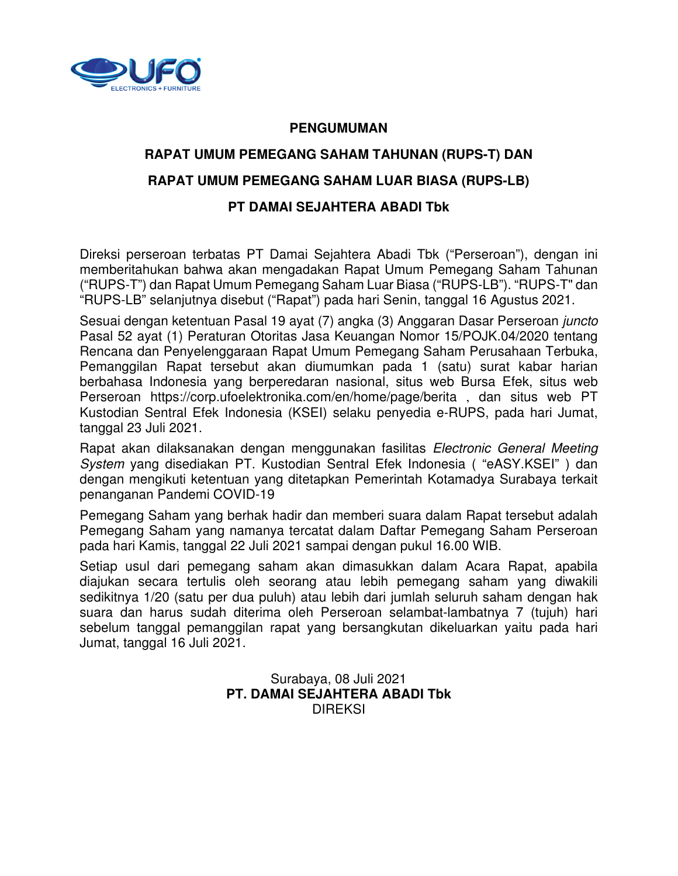

#### **PENGUMUMAN**

# **RAPAT UMUM PEMEGANG SAHAM TAHUNAN (RUPS-T) DAN**

## **RAPAT UMUM PEMEGANG SAHAM LUAR BIASA (RUPS-LB)**

#### **PT DAMAI SEJAHTERA ABADI Tbk**

Direksi perseroan terbatas PT Damai Sejahtera Abadi Tbk ("Perseroan"), dengan ini memberitahukan bahwa akan mengadakan Rapat Umum Pemegang Saham Tahunan ("RUPS-T") dan Rapat Umum Pemegang Saham Luar Biasa ("RUPS-LB"). "RUPS-T" dan "RUPS-LB" selanjutnya disebut ("Rapat") pada hari Senin, tanggal 16 Agustus 2021.

Sesuai dengan ketentuan Pasal 19 ayat (7) angka (3) Anggaran Dasar Perseroan juncto Pasal 52 ayat (1) Peraturan Otoritas Jasa Keuangan Nomor 15/POJK.04/2020 tentang Rencana dan Penyelenggaraan Rapat Umum Pemegang Saham Perusahaan Terbuka, Pemanggilan Rapat tersebut akan diumumkan pada 1 (satu) surat kabar harian berbahasa Indonesia yang berperedaran nasional, situs web Bursa Efek, situs web Perseroan https://corp.ufoelektronika.com/en/home/page/berita , dan situs web PT Kustodian Sentral Efek Indonesia (KSEI) selaku penyedia e-RUPS, pada hari Jumat, tanggal 23 Juli 2021.

Rapat akan dilaksanakan dengan menggunakan fasilitas Electronic General Meeting System yang disediakan PT. Kustodian Sentral Efek Indonesia ( "eASY.KSEI" ) dan dengan mengikuti ketentuan yang ditetapkan Pemerintah Kotamadya Surabaya terkait penanganan Pandemi COVID-19

Pemegang Saham yang berhak hadir dan memberi suara dalam Rapat tersebut adalah Pemegang Saham yang namanya tercatat dalam Daftar Pemegang Saham Perseroan pada hari Kamis, tanggal 22 Juli 2021 sampai dengan pukul 16.00 WIB.

Setiap usul dari pemegang saham akan dimasukkan dalam Acara Rapat, apabila diajukan secara tertulis oleh seorang atau lebih pemegang saham yang diwakili sedikitnya 1/20 (satu per dua puluh) atau lebih dari jumlah seluruh saham dengan hak suara dan harus sudah diterima oleh Perseroan selambat-lambatnya 7 (tujuh) hari sebelum tanggal pemanggilan rapat yang bersangkutan dikeluarkan yaitu pada hari Jumat, tanggal 16 Juli 2021.

> Surabaya, 08 Juli 2021 **PT. DAMAI SEJAHTERA ABADI Tbk**  DIREKSI